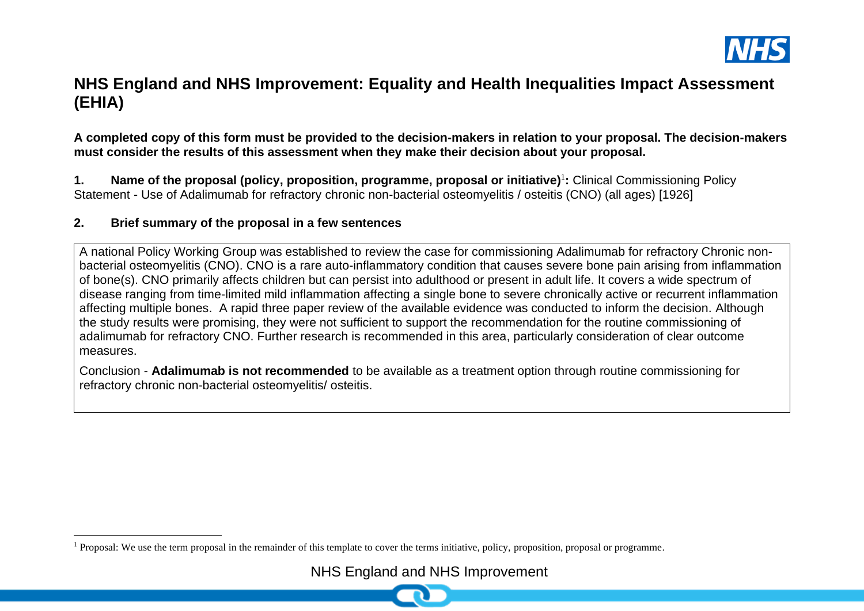

# **NHS England and NHS Improvement: Equality and Health Inequalities Impact Assessment (EHIA)**

**A completed copy of this form must be provided to the decision-makers in relation to your proposal. The decision-makers must consider the results of this assessment when they make their decision about your proposal.**

1. Name of the proposal (policy, proposition, programme, proposal or initiative)<sup>1</sup>: Clinical Commissioning Policy Statement - Use of Adalimumab for refractory chronic non-bacterial osteomyelitis / osteitis (CNO) (all ages) [1926]

#### **2. Brief summary of the proposal in a few sentences**

A national Policy Working Group was established to review the case for commissioning Adalimumab for refractory Chronic nonbacterial osteomyelitis (CNO). CNO is a rare auto-inflammatory condition that causes severe bone pain arising from inflammation of bone(s). CNO primarily affects children but can persist into adulthood or present in adult life. It covers a wide spectrum of disease ranging from time-limited mild inflammation affecting a single bone to severe chronically active or recurrent inflammation affecting multiple bones. A rapid three paper review of the available evidence was conducted to inform the decision. Although the study results were promising, they were not sufficient to support the recommendation for the routine commissioning of adalimumab for refractory CNO. Further research is recommended in this area, particularly consideration of clear outcome measures.

Conclusion - **Adalimumab is not recommended** to be available as a treatment option through routine commissioning for refractory chronic non-bacterial osteomyelitis/ osteitis.

<sup>&</sup>lt;sup>1</sup> Proposal: We use the term proposal in the remainder of this template to cover the terms initiative, policy, proposition, proposal or programme.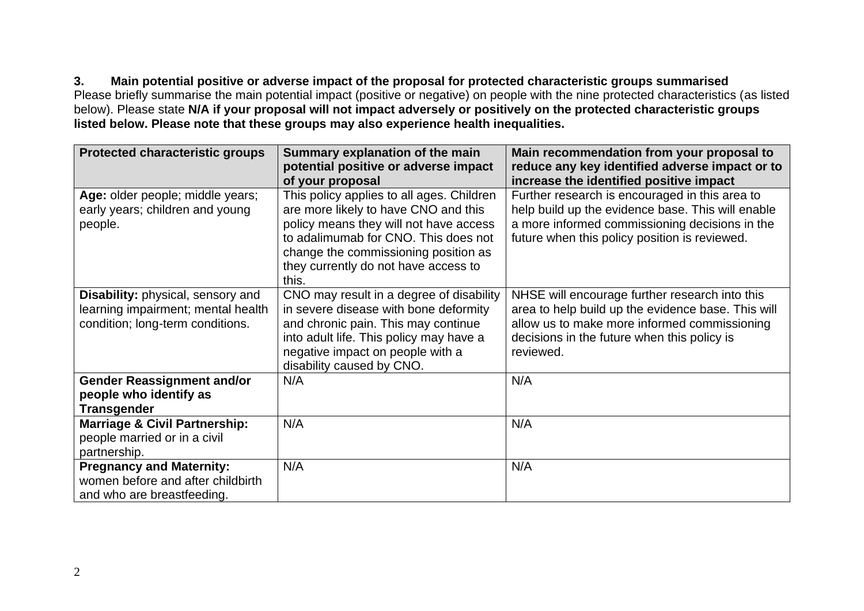**3. Main potential positive or adverse impact of the proposal for protected characteristic groups summarised** Please briefly summarise the main potential impact (positive or negative) on people with the nine protected characteristics (as listed

below). Please state **N/A if your proposal will not impact adversely or positively on the protected characteristic groups listed below. Please note that these groups may also experience health inequalities.**

| <b>Protected characteristic groups</b>   | Summary explanation of the main<br>potential positive or adverse impact | Main recommendation from your proposal to<br>reduce any key identified adverse impact or to |
|------------------------------------------|-------------------------------------------------------------------------|---------------------------------------------------------------------------------------------|
|                                          | of your proposal                                                        | increase the identified positive impact                                                     |
| Age: older people; middle years;         | This policy applies to all ages. Children                               | Further research is encouraged in this area to                                              |
| early years; children and young          | are more likely to have CNO and this                                    | help build up the evidence base. This will enable                                           |
| people.                                  | policy means they will not have access                                  | a more informed commissioning decisions in the                                              |
|                                          | to adalimumab for CNO. This does not                                    | future when this policy position is reviewed.                                               |
|                                          | change the commissioning position as                                    |                                                                                             |
|                                          | they currently do not have access to                                    |                                                                                             |
|                                          | this.                                                                   |                                                                                             |
| Disability: physical, sensory and        | CNO may result in a degree of disability                                | NHSE will encourage further research into this                                              |
| learning impairment; mental health       | in severe disease with bone deformity                                   | area to help build up the evidence base. This will                                          |
| condition; long-term conditions.         | and chronic pain. This may continue                                     | allow us to make more informed commissioning                                                |
|                                          | into adult life. This policy may have a                                 | decisions in the future when this policy is                                                 |
|                                          | negative impact on people with a                                        | reviewed.                                                                                   |
|                                          | disability caused by CNO.                                               |                                                                                             |
| <b>Gender Reassignment and/or</b>        | N/A                                                                     | N/A                                                                                         |
| people who identify as                   |                                                                         |                                                                                             |
| <b>Transgender</b>                       |                                                                         |                                                                                             |
| <b>Marriage &amp; Civil Partnership:</b> | N/A                                                                     | N/A                                                                                         |
| people married or in a civil             |                                                                         |                                                                                             |
| partnership.                             |                                                                         |                                                                                             |
| <b>Pregnancy and Maternity:</b>          | N/A                                                                     | N/A                                                                                         |
| women before and after childbirth        |                                                                         |                                                                                             |
| and who are breastfeeding.               |                                                                         |                                                                                             |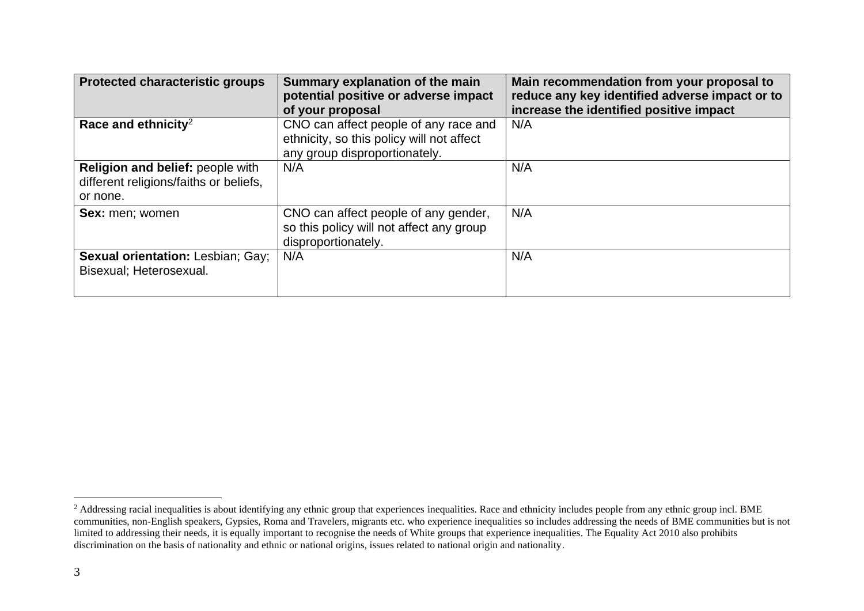| <b>Protected characteristic groups</b>                                                 | Summary explanation of the main<br>potential positive or adverse impact<br>of your proposal                         | Main recommendation from your proposal to<br>reduce any key identified adverse impact or to<br>increase the identified positive impact |
|----------------------------------------------------------------------------------------|---------------------------------------------------------------------------------------------------------------------|----------------------------------------------------------------------------------------------------------------------------------------|
| Race and ethnicity <sup>2</sup>                                                        | CNO can affect people of any race and<br>ethnicity, so this policy will not affect<br>any group disproportionately. | N/A                                                                                                                                    |
| Religion and belief: people with<br>different religions/faiths or beliefs.<br>or none. | N/A                                                                                                                 | N/A                                                                                                                                    |
| <b>Sex:</b> men; women                                                                 | CNO can affect people of any gender,<br>so this policy will not affect any group<br>disproportionately.             | N/A                                                                                                                                    |
| <b>Sexual orientation: Lesbian; Gay;</b><br>Bisexual; Heterosexual.                    | N/A                                                                                                                 | N/A                                                                                                                                    |

<sup>&</sup>lt;sup>2</sup> Addressing racial inequalities is about identifying any ethnic group that experiences inequalities. Race and ethnicity includes people from any ethnic group incl. BME communities, non-English speakers, Gypsies, Roma and Travelers, migrants etc. who experience inequalities so includes addressing the needs of BME communities but is not limited to addressing their needs, it is equally important to recognise the needs of White groups that experience inequalities. The Equality Act 2010 also prohibits discrimination on the basis of nationality and ethnic or national origins, issues related to national origin and nationality.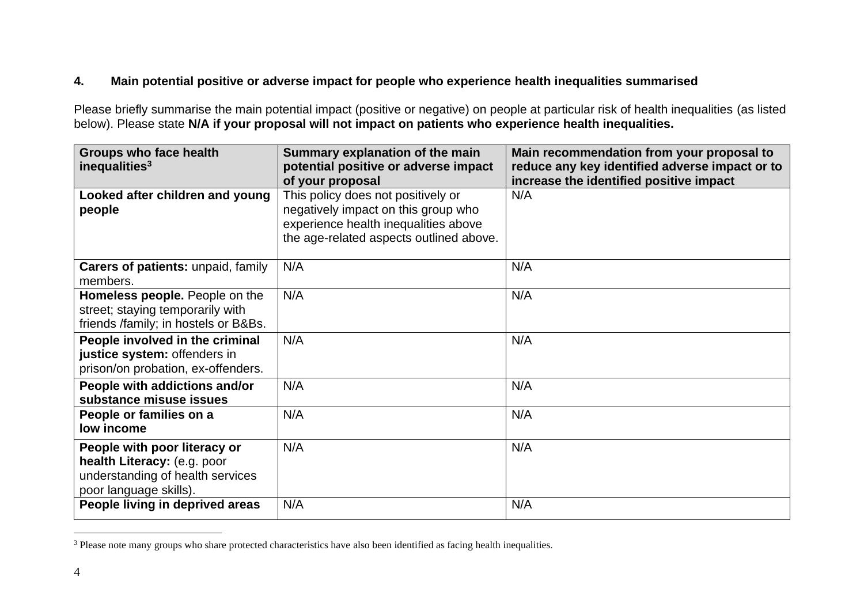## **4. Main potential positive or adverse impact for people who experience health inequalities summarised**

Please briefly summarise the main potential impact (positive or negative) on people at particular risk of health inequalities (as listed below). Please state N/A if your proposal will not impact on patients who experience health inequalities.

| <b>Groups who face health</b><br>Summary explanation of the main<br>inequalities <sup>3</sup><br>potential positive or adverse impact |                                         | Main recommendation from your proposal to<br>reduce any key identified adverse impact or to |
|---------------------------------------------------------------------------------------------------------------------------------------|-----------------------------------------|---------------------------------------------------------------------------------------------|
|                                                                                                                                       | of your proposal                        | increase the identified positive impact                                                     |
| Looked after children and young                                                                                                       | This policy does not positively or      | N/A                                                                                         |
| people                                                                                                                                | negatively impact on this group who     |                                                                                             |
|                                                                                                                                       | experience health inequalities above    |                                                                                             |
|                                                                                                                                       | the age-related aspects outlined above. |                                                                                             |
|                                                                                                                                       |                                         |                                                                                             |
| <b>Carers of patients: unpaid, family</b>                                                                                             | N/A                                     | N/A                                                                                         |
| members.                                                                                                                              |                                         |                                                                                             |
| Homeless people. People on the                                                                                                        | N/A                                     | N/A                                                                                         |
| street; staying temporarily with                                                                                                      |                                         |                                                                                             |
| friends /family; in hostels or B&Bs.                                                                                                  |                                         |                                                                                             |
| People involved in the criminal                                                                                                       | N/A                                     | N/A                                                                                         |
| justice system: offenders in                                                                                                          |                                         |                                                                                             |
| prison/on probation, ex-offenders.                                                                                                    |                                         |                                                                                             |
| People with addictions and/or                                                                                                         | N/A                                     | N/A                                                                                         |
| substance misuse issues                                                                                                               |                                         |                                                                                             |
| People or families on a                                                                                                               | N/A                                     | N/A                                                                                         |
| low income                                                                                                                            |                                         |                                                                                             |
| People with poor literacy or                                                                                                          | N/A                                     | N/A                                                                                         |
| health Literacy: (e.g. poor                                                                                                           |                                         |                                                                                             |
| understanding of health services                                                                                                      |                                         |                                                                                             |
| poor language skills).                                                                                                                |                                         |                                                                                             |
| People living in deprived areas                                                                                                       | N/A                                     | N/A                                                                                         |

<sup>&</sup>lt;sup>3</sup> Please note many groups who share protected characteristics have also been identified as facing health inequalities.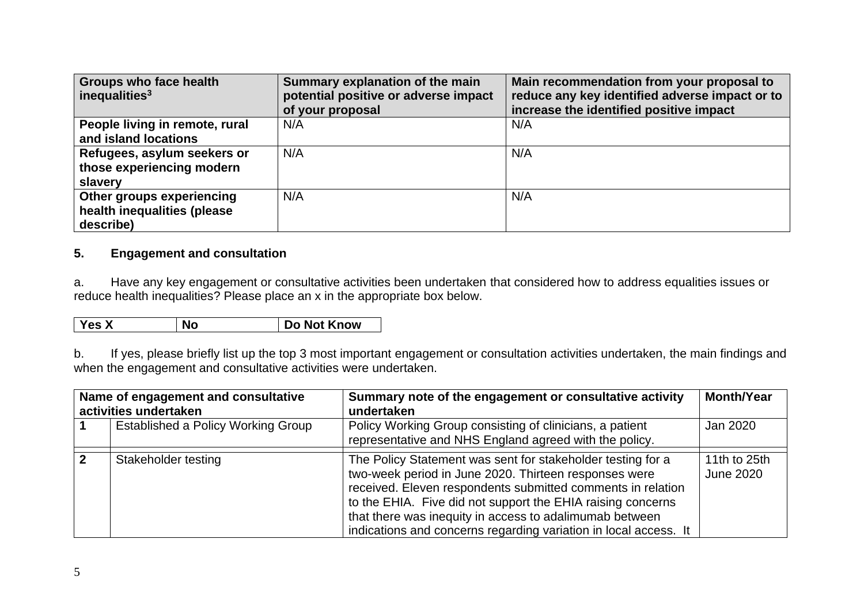| Groups who face health<br>inequalities $3$ | Summary explanation of the main<br>potential positive or adverse impact<br>of your proposal | Main recommendation from your proposal to<br>reduce any key identified adverse impact or to<br>increase the identified positive impact |
|--------------------------------------------|---------------------------------------------------------------------------------------------|----------------------------------------------------------------------------------------------------------------------------------------|
| People living in remote, rural             | N/A                                                                                         | N/A                                                                                                                                    |
| and island locations                       |                                                                                             |                                                                                                                                        |
| Refugees, asylum seekers or                | N/A                                                                                         | N/A                                                                                                                                    |
| those experiencing modern                  |                                                                                             |                                                                                                                                        |
| slavery                                    |                                                                                             |                                                                                                                                        |
| Other groups experiencing                  | N/A                                                                                         | N/A                                                                                                                                    |
| health inequalities (please                |                                                                                             |                                                                                                                                        |
| describe)                                  |                                                                                             |                                                                                                                                        |

### **5. Engagement and consultation**

a. Have any key engagement or consultative activities been undertaken that considered how to address equalities issues or reduce health inequalities? Please place an x in the appropriate box below.

| <b>Yes X</b> | <b>No</b> | Do Not Know |
|--------------|-----------|-------------|
|              |           |             |

b. If yes, please briefly list up the top 3 most important engagement or consultation activities undertaken, the main findings and when the engagement and consultative activities were undertaken.

| Name of engagement and consultative<br>activities undertaken | Summary note of the engagement or consultative activity<br>undertaken                                                                                                                                                                                                                                                                                                             | <b>Month/Year</b>                |
|--------------------------------------------------------------|-----------------------------------------------------------------------------------------------------------------------------------------------------------------------------------------------------------------------------------------------------------------------------------------------------------------------------------------------------------------------------------|----------------------------------|
| Established a Policy Working Group                           | Policy Working Group consisting of clinicians, a patient<br>representative and NHS England agreed with the policy.                                                                                                                                                                                                                                                                | Jan 2020                         |
| Stakeholder testing                                          | The Policy Statement was sent for stakeholder testing for a<br>two-week period in June 2020. Thirteen responses were<br>received. Eleven respondents submitted comments in relation<br>to the EHIA. Five did not support the EHIA raising concerns<br>that there was inequity in access to adalimumab between<br>indications and concerns regarding variation in local access. It | 11th to 25th<br><b>June 2020</b> |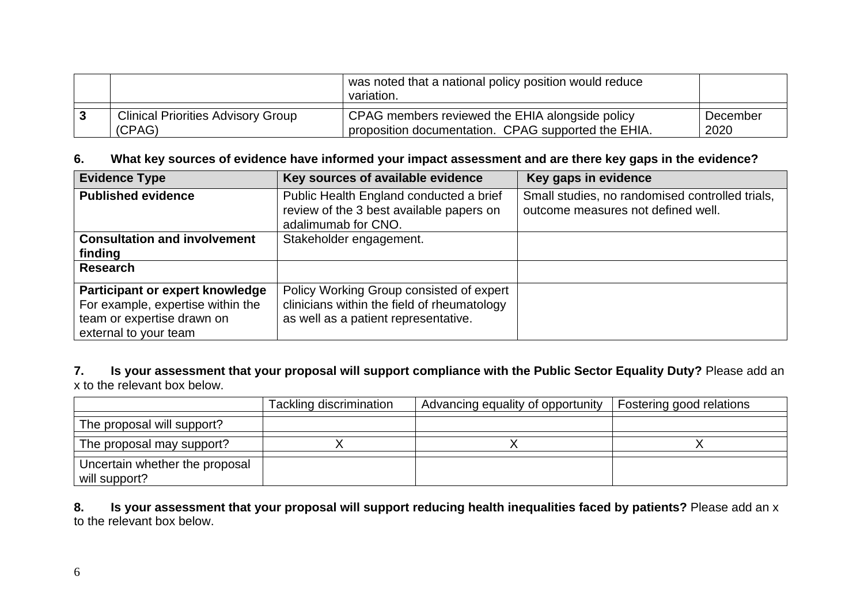|                                           | was noted that a national policy position would reduce<br>variation. |          |
|-------------------------------------------|----------------------------------------------------------------------|----------|
| <b>Clinical Priorities Advisory Group</b> | CPAG members reviewed the EHIA alongside policy                      | December |
| (CPAG)                                    | proposition documentation. CPAG supported the EHIA.                  | 2020     |

#### **6. What key sources of evidence have informed your impact assessment and are there key gaps in the evidence?**

| <b>Evidence Type</b>                                                                                                        | Key sources of available evidence                                                                                               | Key gaps in evidence                                                                  |
|-----------------------------------------------------------------------------------------------------------------------------|---------------------------------------------------------------------------------------------------------------------------------|---------------------------------------------------------------------------------------|
| <b>Published evidence</b>                                                                                                   | Public Health England conducted a brief<br>review of the 3 best available papers on<br>adalimumab for CNO.                      | Small studies, no randomised controlled trials,<br>outcome measures not defined well. |
| <b>Consultation and involvement</b><br>finding                                                                              | Stakeholder engagement.                                                                                                         |                                                                                       |
| <b>Research</b>                                                                                                             |                                                                                                                                 |                                                                                       |
| Participant or expert knowledge<br>For example, expertise within the<br>team or expertise drawn on<br>external to your team | Policy Working Group consisted of expert<br>clinicians within the field of rheumatology<br>as well as a patient representative. |                                                                                       |

#### **7. Is your assessment that your proposal will support compliance with the Public Sector Equality Duty?** Please add an x to the relevant box below.

|                                                 | Tackling discrimination | Advancing equality of opportunity | Fostering good relations |
|-------------------------------------------------|-------------------------|-----------------------------------|--------------------------|
| The proposal will support?                      |                         |                                   |                          |
| The proposal may support?                       |                         |                                   |                          |
| Uncertain whether the proposal<br>will support? |                         |                                   |                          |

**8. Is your assessment that your proposal will support reducing health inequalities faced by patients?** Please add an x to the relevant box below.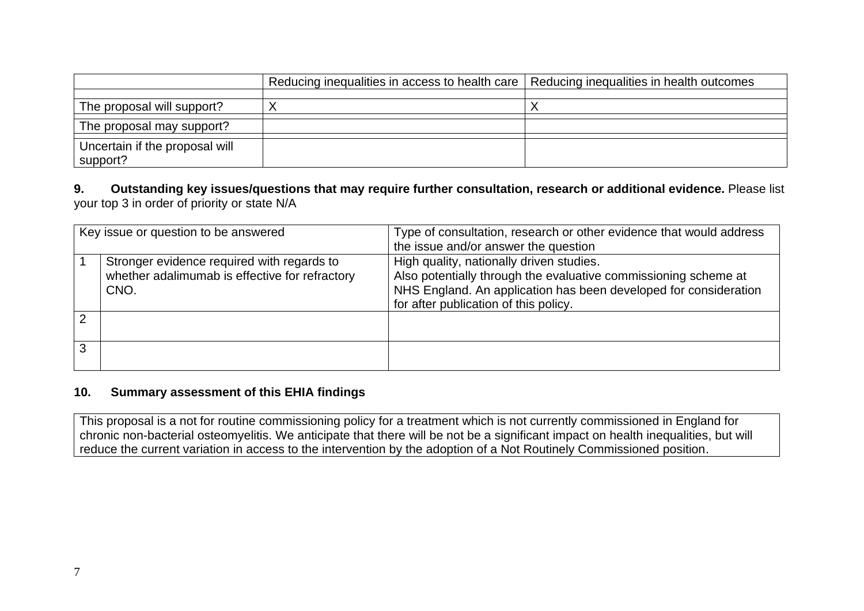|                                            | Reducing inequalities in access to health care   Reducing inequalities in health outcomes |  |
|--------------------------------------------|-------------------------------------------------------------------------------------------|--|
|                                            |                                                                                           |  |
| The proposal will support?                 |                                                                                           |  |
| The proposal may support?                  |                                                                                           |  |
| Uncertain if the proposal will<br>support? |                                                                                           |  |

#### **9. Outstanding key issues/questions that may require further consultation, research or additional evidence.** Please list your top 3 in order of priority or state N/A

|   | Key issue or question to be answered                                                                 | Type of consultation, research or other evidence that would address<br>the issue and/or answer the question                                                                                                              |
|---|------------------------------------------------------------------------------------------------------|--------------------------------------------------------------------------------------------------------------------------------------------------------------------------------------------------------------------------|
|   | Stronger evidence required with regards to<br>whether adalimumab is effective for refractory<br>CNO. | High quality, nationally driven studies.<br>Also potentially through the evaluative commissioning scheme at<br>NHS England. An application has been developed for consideration<br>for after publication of this policy. |
|   |                                                                                                      |                                                                                                                                                                                                                          |
| 3 |                                                                                                      |                                                                                                                                                                                                                          |

#### **10. Summary assessment of this EHIA findings**

This proposal is a not for routine commissioning policy for a treatment which is not currently commissioned in England for chronic non-bacterial osteomyelitis. We anticipate that there will be not be a significant impact on health inequalities, but will reduce the current variation in access to the intervention by the adoption of a Not Routinely Commissioned position.